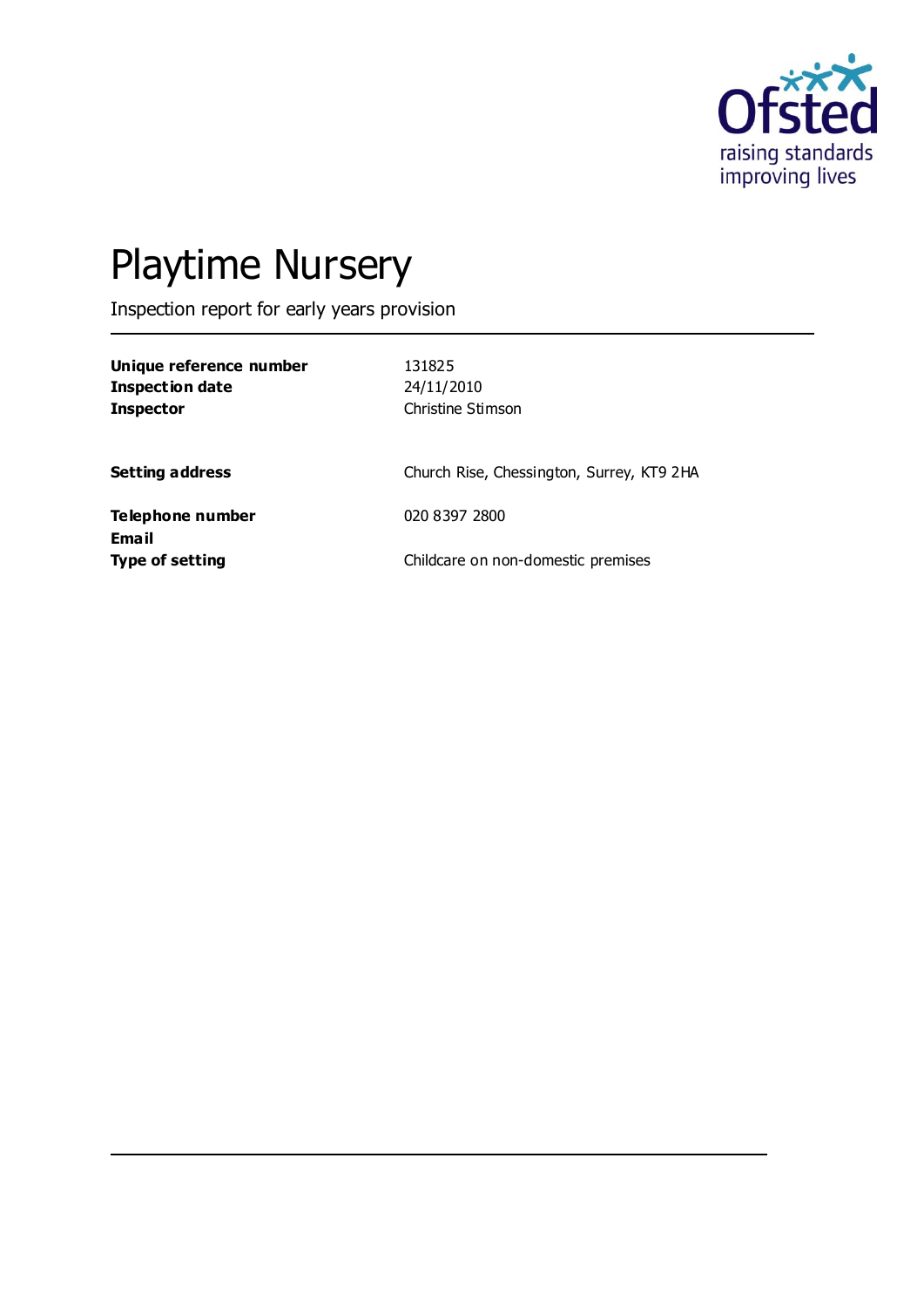

# Playtime Nursery

Inspection report for early years provision

| Unique reference number |  |
|-------------------------|--|
| Inspection date         |  |
| <b>Inspector</b>        |  |

**Unique reference number** 131825 **Inspection date** 24/11/2010 **Christine Stimson** 

**Setting address** Church Rise, Chessington, Surrey, KT9 2HA

**Telephone number** 020 8397 2800 **Email**

**Type of setting Childcare on non-domestic premises**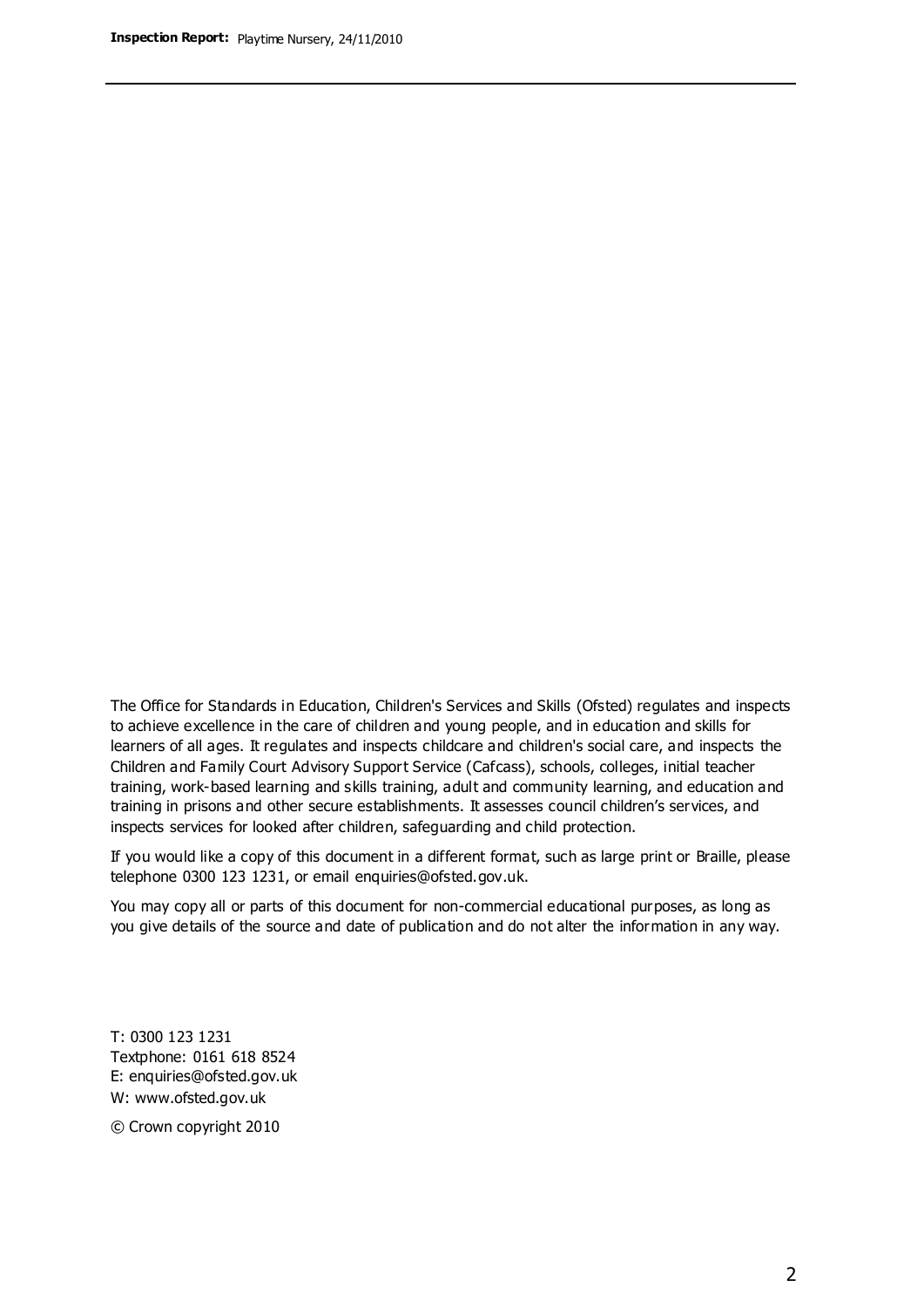The Office for Standards in Education, Children's Services and Skills (Ofsted) regulates and inspects to achieve excellence in the care of children and young people, and in education and skills for learners of all ages. It regulates and inspects childcare and children's social care, and inspects the Children and Family Court Advisory Support Service (Cafcass), schools, colleges, initial teacher training, work-based learning and skills training, adult and community learning, and education and training in prisons and other secure establishments. It assesses council children's services, and inspects services for looked after children, safeguarding and child protection.

If you would like a copy of this document in a different format, such as large print or Braille, please telephone 0300 123 1231, or email enquiries@ofsted.gov.uk.

You may copy all or parts of this document for non-commercial educational purposes, as long as you give details of the source and date of publication and do not alter the information in any way.

T: 0300 123 1231 Textphone: 0161 618 8524 E: enquiries@ofsted.gov.uk W: [www.ofsted.gov.uk](http://www.ofsted.gov.uk/)

© Crown copyright 2010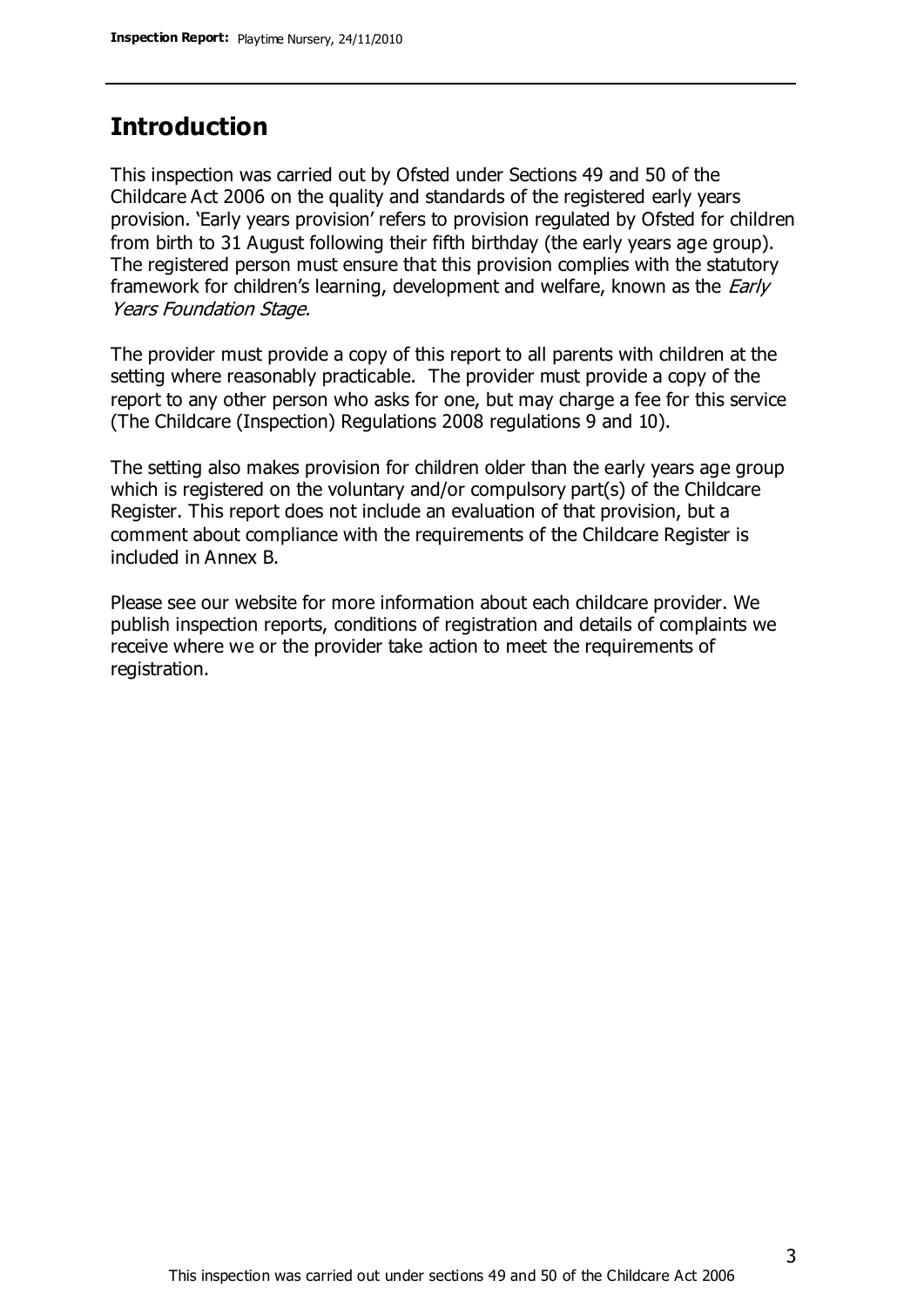### **Introduction**

This inspection was carried out by Ofsted under Sections 49 and 50 of the Childcare Act 2006 on the quality and standards of the registered early years provision. 'Early years provision' refers to provision regulated by Ofsted for children from birth to 31 August following their fifth birthday (the early years age group). The registered person must ensure that this provision complies with the statutory framework for children's learning, development and welfare, known as the *Early* Years Foundation Stage.

The provider must provide a copy of this report to all parents with children at the setting where reasonably practicable. The provider must provide a copy of the report to any other person who asks for one, but may charge a fee for this service (The Childcare (Inspection) Regulations 2008 regulations 9 and 10).

The setting also makes provision for children older than the early years age group which is registered on the voluntary and/or compulsory part(s) of the Childcare Register. This report does not include an evaluation of that provision, but a comment about compliance with the requirements of the Childcare Register is included in Annex B.

Please see our website for more information about each childcare provider. We publish inspection reports, conditions of registration and details of complaints we receive where we or the provider take action to meet the requirements of registration.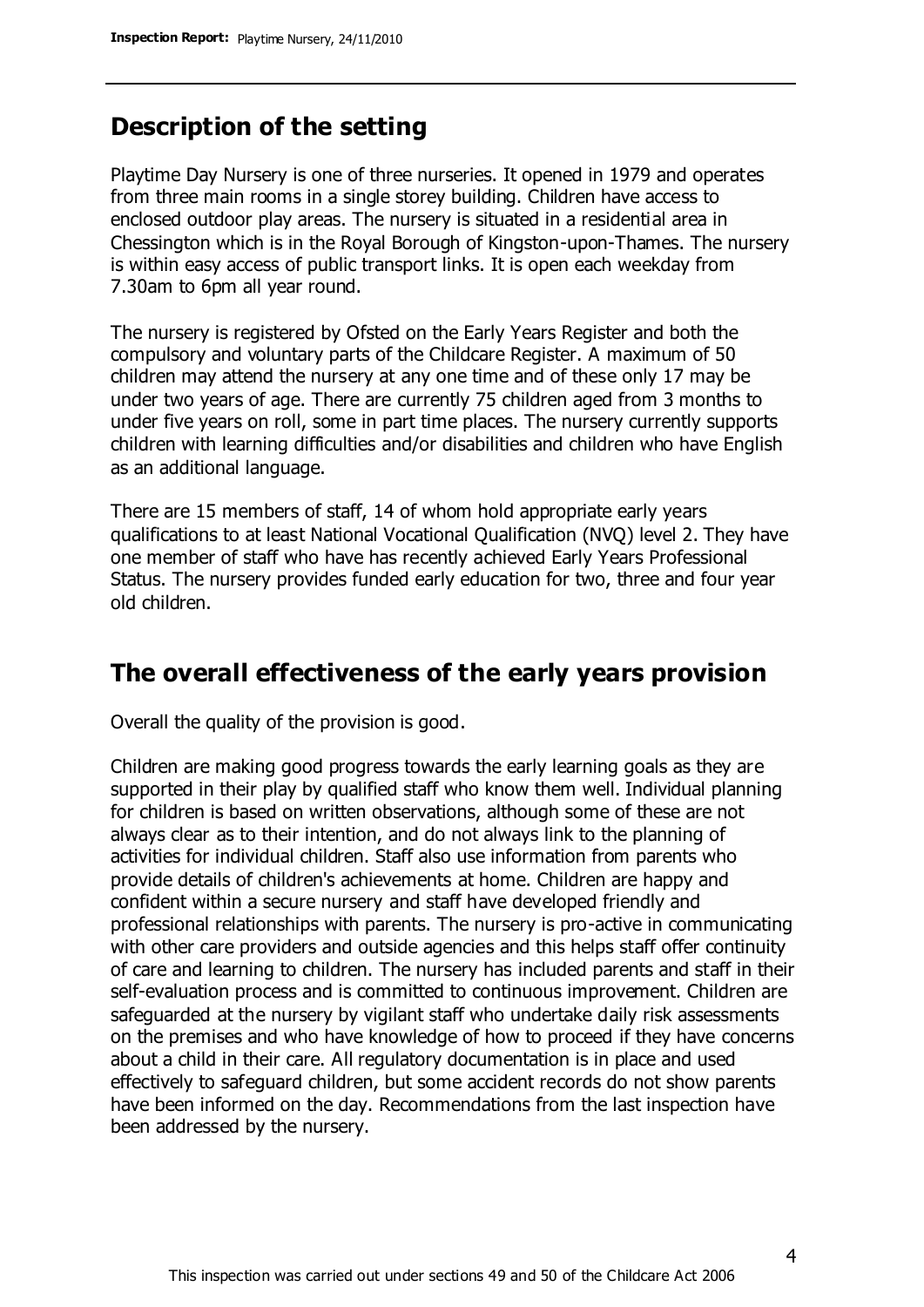### **Description of the setting**

Playtime Day Nursery is one of three nurseries. It opened in 1979 and operates from three main rooms in a single storey building. Children have access to enclosed outdoor play areas. The nursery is situated in a residential area in Chessington which is in the Royal Borough of Kingston-upon-Thames. The nursery is within easy access of public transport links. It is open each weekday from 7.30am to 6pm all year round.

The nursery is registered by Ofsted on the Early Years Register and both the compulsory and voluntary parts of the Childcare Register. A maximum of 50 children may attend the nursery at any one time and of these only 17 may be under two years of age. There are currently 75 children aged from 3 months to under five years on roll, some in part time places. The nursery currently supports children with learning difficulties and/or disabilities and children who have English as an additional language.

There are 15 members of staff, 14 of whom hold appropriate early years qualifications to at least National Vocational Qualification (NVQ) level 2. They have one member of staff who have has recently achieved Early Years Professional Status. The nursery provides funded early education for two, three and four year old children.

### **The overall effectiveness of the early years provision**

Overall the quality of the provision is good.

Children are making good progress towards the early learning goals as they are supported in their play by qualified staff who know them well. Individual planning for children is based on written observations, although some of these are not always clear as to their intention, and do not always link to the planning of activities for individual children. Staff also use information from parents who provide details of children's achievements at home. Children are happy and confident within a secure nursery and staff have developed friendly and professional relationships with parents. The nursery is pro-active in communicating with other care providers and outside agencies and this helps staff offer continuity of care and learning to children. The nursery has included parents and staff in their self-evaluation process and is committed to continuous improvement. Children are safeguarded at the nursery by vigilant staff who undertake daily risk assessments on the premises and who have knowledge of how to proceed if they have concerns about a child in their care. All regulatory documentation is in place and used effectively to safeguard children, but some accident records do not show parents have been informed on the day. Recommendations from the last inspection have been addressed by the nursery.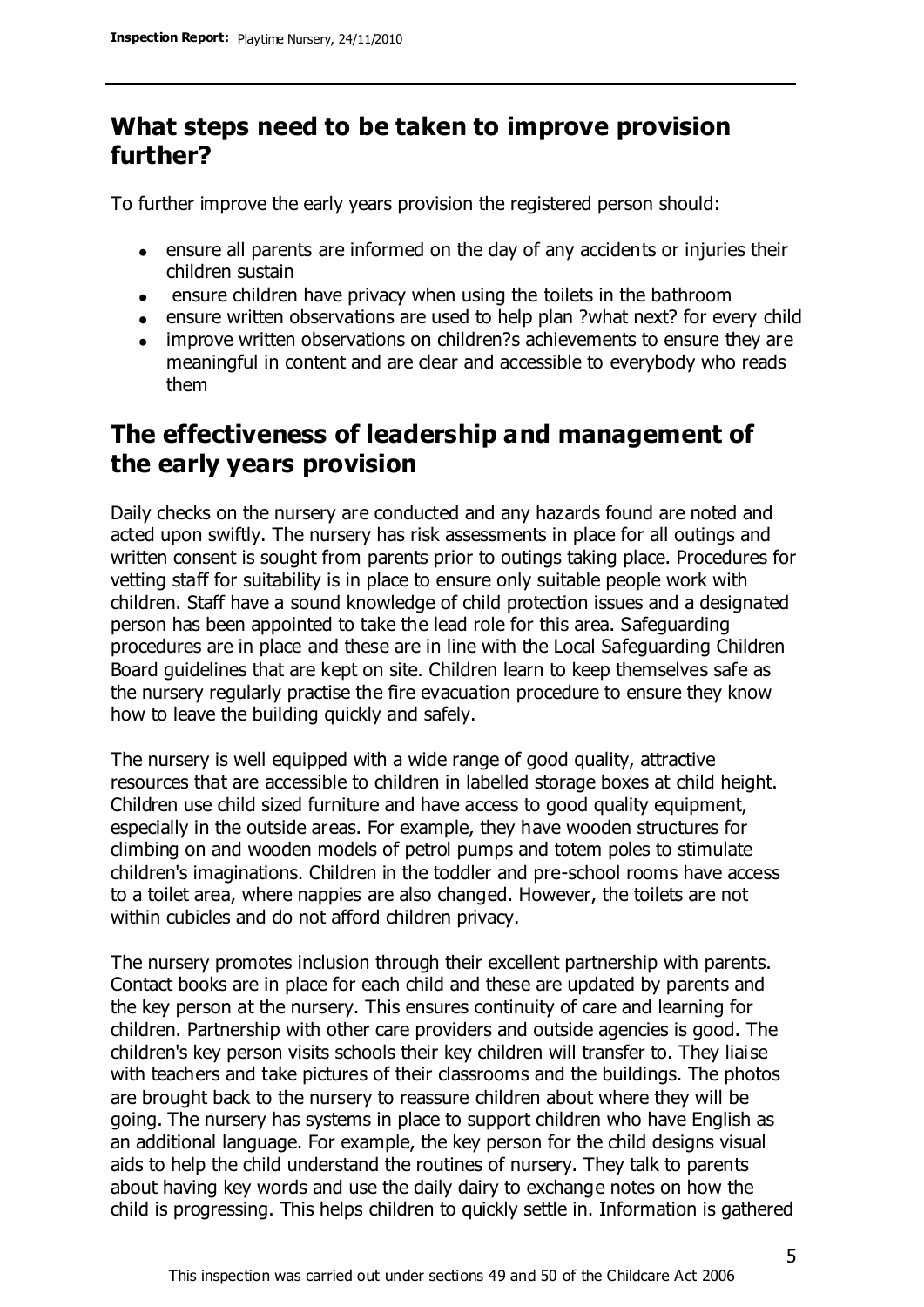### **What steps need to be taken to improve provision further?**

To further improve the early years provision the registered person should:

- ensure all parents are informed on the day of any accidents or injuries their children sustain
- ensure children have privacy when using the toilets in the bathroom
- ensure written observations are used to help plan ?what next? for every child
- improve written observations on children?s achievements to ensure they are meaningful in content and are clear and accessible to everybody who reads them

### **The effectiveness of leadership and management of the early years provision**

Daily checks on the nursery are conducted and any hazards found are noted and acted upon swiftly. The nursery has risk assessments in place for all outings and written consent is sought from parents prior to outings taking place. Procedures for vetting staff for suitability is in place to ensure only suitable people work with children. Staff have a sound knowledge of child protection issues and a designated person has been appointed to take the lead role for this area. Safeguarding procedures are in place and these are in line with the Local Safeguarding Children Board guidelines that are kept on site. Children learn to keep themselves safe as the nursery regularly practise the fire evacuation procedure to ensure they know how to leave the building quickly and safely.

The nursery is well equipped with a wide range of good quality, attractive resources that are accessible to children in labelled storage boxes at child height. Children use child sized furniture and have access to good quality equipment, especially in the outside areas. For example, they have wooden structures for climbing on and wooden models of petrol pumps and totem poles to stimulate children's imaginations. Children in the toddler and pre-school rooms have access to a toilet area, where nappies are also changed. However, the toilets are not within cubicles and do not afford children privacy.

The nursery promotes inclusion through their excellent partnership with parents. Contact books are in place for each child and these are updated by parents and the key person at the nursery. This ensures continuity of care and learning for children. Partnership with other care providers and outside agencies is good. The children's key person visits schools their key children will transfer to. They liaise with teachers and take pictures of their classrooms and the buildings. The photos are brought back to the nursery to reassure children about where they will be going. The nursery has systems in place to support children who have English as an additional language. For example, the key person for the child designs visual aids to help the child understand the routines of nursery. They talk to parents about having key words and use the daily dairy to exchange notes on how the child is progressing. This helps children to quickly settle in. Information is gathered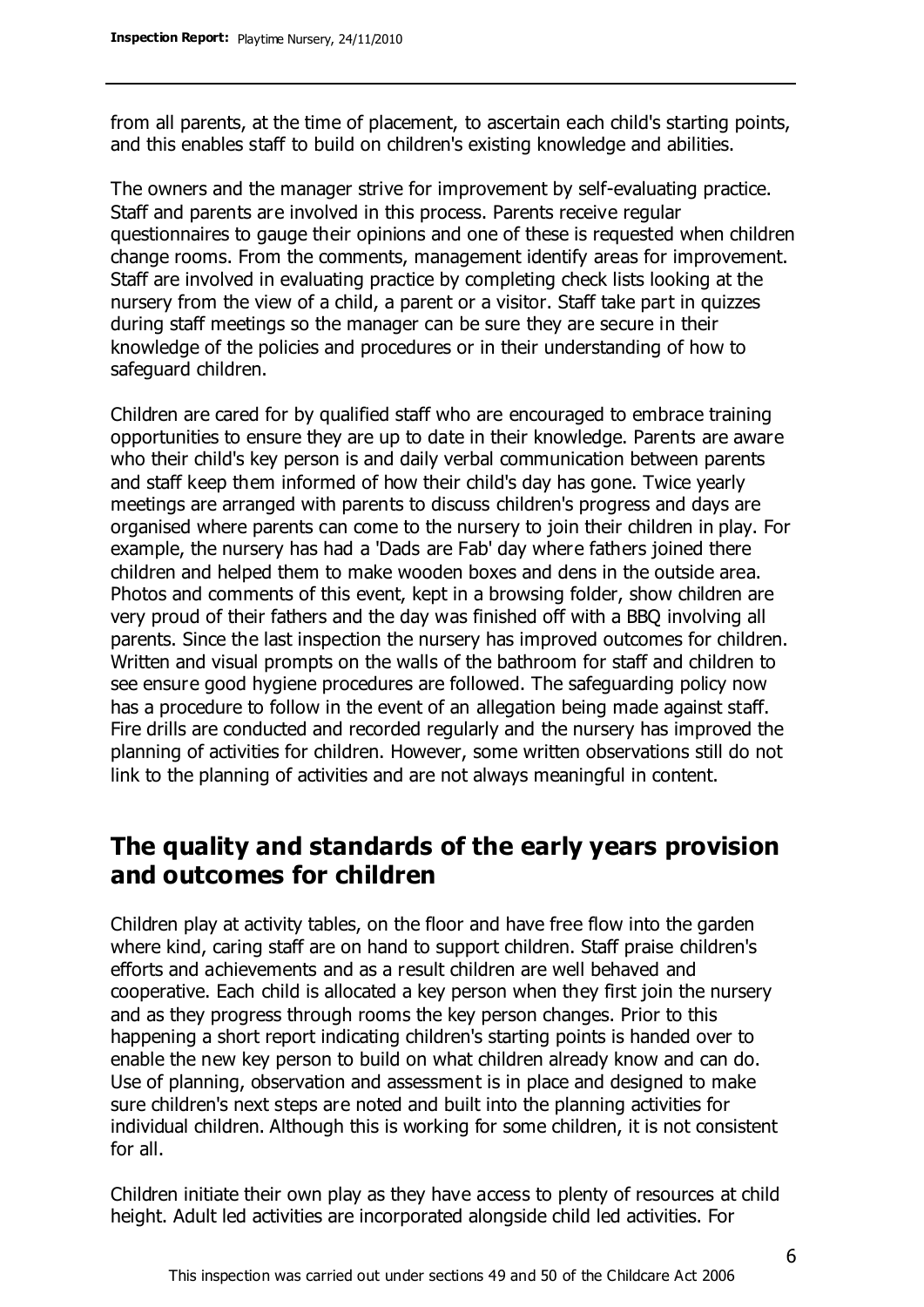from all parents, at the time of placement, to ascertain each child's starting points, and this enables staff to build on children's existing knowledge and abilities.

The owners and the manager strive for improvement by self-evaluating practice. Staff and parents are involved in this process. Parents receive regular questionnaires to gauge their opinions and one of these is requested when children change rooms. From the comments, management identify areas for improvement. Staff are involved in evaluating practice by completing check lists looking at the nursery from the view of a child, a parent or a visitor. Staff take part in quizzes during staff meetings so the manager can be sure they are secure in their knowledge of the policies and procedures or in their understanding of how to safeguard children.

Children are cared for by qualified staff who are encouraged to embrace training opportunities to ensure they are up to date in their knowledge. Parents are aware who their child's key person is and daily verbal communication between parents and staff keep them informed of how their child's day has gone. Twice yearly meetings are arranged with parents to discuss children's progress and days are organised where parents can come to the nursery to join their children in play. For example, the nursery has had a 'Dads are Fab' day where fathers joined there children and helped them to make wooden boxes and dens in the outside area. Photos and comments of this event, kept in a browsing folder, show children are very proud of their fathers and the day was finished off with a BBQ involving all parents. Since the last inspection the nursery has improved outcomes for children. Written and visual prompts on the walls of the bathroom for staff and children to see ensure good hygiene procedures are followed. The safeguarding policy now has a procedure to follow in the event of an allegation being made against staff. Fire drills are conducted and recorded regularly and the nursery has improved the planning of activities for children. However, some written observations still do not link to the planning of activities and are not always meaningful in content.

### **The quality and standards of the early years provision and outcomes for children**

Children play at activity tables, on the floor and have free flow into the garden where kind, caring staff are on hand to support children. Staff praise children's efforts and achievements and as a result children are well behaved and cooperative. Each child is allocated a key person when they first join the nursery and as they progress through rooms the key person changes. Prior to this happening a short report indicating children's starting points is handed over to enable the new key person to build on what children already know and can do. Use of planning, observation and assessment is in place and designed to make sure children's next steps are noted and built into the planning activities for individual children. Although this is working for some children, it is not consistent for all.

Children initiate their own play as they have access to plenty of resources at child height. Adult led activities are incorporated alongside child led activities. For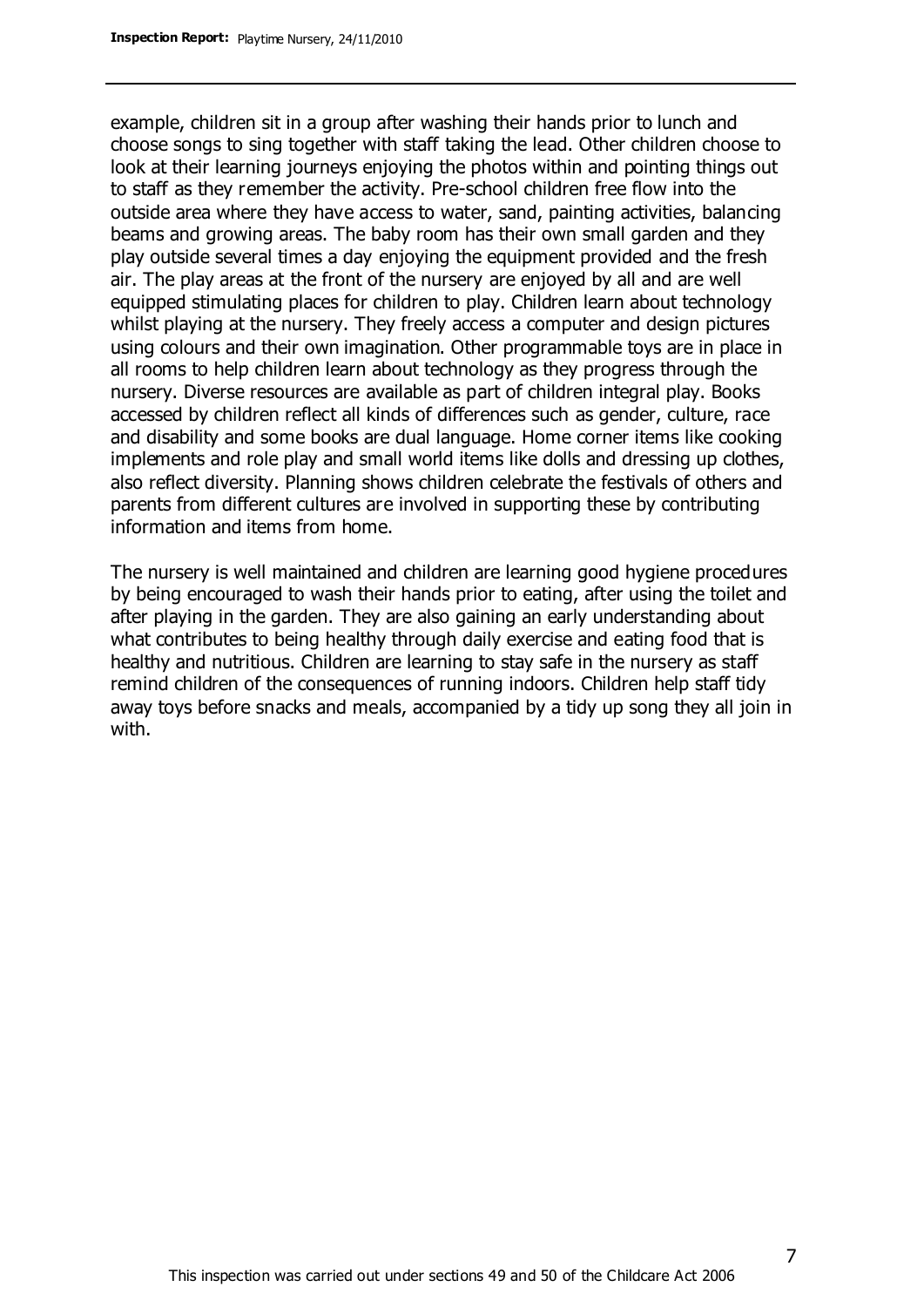example, children sit in a group after washing their hands prior to lunch and choose songs to sing together with staff taking the lead. Other children choose to look at their learning journeys enjoying the photos within and pointing things out to staff as they remember the activity. Pre-school children free flow into the outside area where they have access to water, sand, painting activities, balancing beams and growing areas. The baby room has their own small garden and they play outside several times a day enjoying the equipment provided and the fresh air. The play areas at the front of the nursery are enjoyed by all and are well equipped stimulating places for children to play. Children learn about technology whilst playing at the nursery. They freely access a computer and design pictures using colours and their own imagination. Other programmable toys are in place in all rooms to help children learn about technology as they progress through the nursery. Diverse resources are available as part of children integral play. Books accessed by children reflect all kinds of differences such as gender, culture, race and disability and some books are dual language. Home corner items like cooking implements and role play and small world items like dolls and dressing up clothes, also reflect diversity. Planning shows children celebrate the festivals of others and parents from different cultures are involved in supporting these by contributing information and items from home.

The nursery is well maintained and children are learning good hygiene procedures by being encouraged to wash their hands prior to eating, after using the toilet and after playing in the garden. They are also gaining an early understanding about what contributes to being healthy through daily exercise and eating food that is healthy and nutritious. Children are learning to stay safe in the nursery as staff remind children of the consequences of running indoors. Children help staff tidy away toys before snacks and meals, accompanied by a tidy up song they all join in with.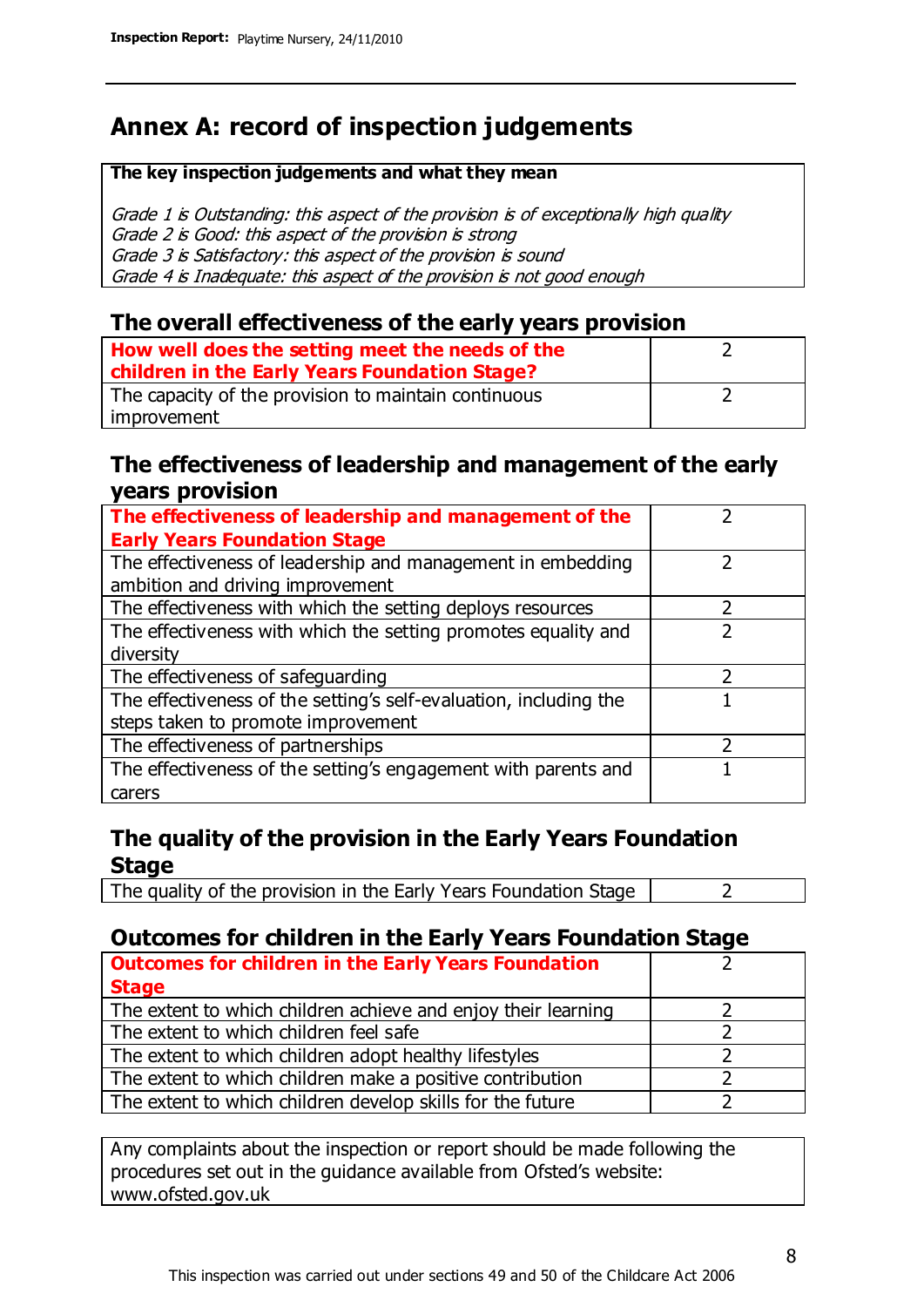### **Annex A: record of inspection judgements**

#### **The key inspection judgements and what they mean**

Grade 1 is Outstanding: this aspect of the provision is of exceptionally high quality Grade 2 is Good: this aspect of the provision is strong Grade 3 is Satisfactory: this aspect of the provision is sound Grade 4 is Inadequate: this aspect of the provision is not good enough

#### **The overall effectiveness of the early years provision**

| How well does the setting meet the needs of the      |  |
|------------------------------------------------------|--|
| children in the Early Years Foundation Stage?        |  |
| The capacity of the provision to maintain continuous |  |
| improvement                                          |  |

#### **The effectiveness of leadership and management of the early years provision**

| The effectiveness of leadership and management of the             |  |
|-------------------------------------------------------------------|--|
| <b>Early Years Foundation Stage</b>                               |  |
| The effectiveness of leadership and management in embedding       |  |
| ambition and driving improvement                                  |  |
| The effectiveness with which the setting deploys resources        |  |
| The effectiveness with which the setting promotes equality and    |  |
| diversity                                                         |  |
| The effectiveness of safeguarding                                 |  |
| The effectiveness of the setting's self-evaluation, including the |  |
| steps taken to promote improvement                                |  |
| The effectiveness of partnerships                                 |  |
| The effectiveness of the setting's engagement with parents and    |  |
| carers                                                            |  |

#### **The quality of the provision in the Early Years Foundation Stage**

The quality of the provision in the Early Years Foundation Stage  $\vert$  2

### **Outcomes for children in the Early Years Foundation Stage**

| <b>Outcomes for children in the Early Years Foundation</b>    |  |
|---------------------------------------------------------------|--|
| <b>Stage</b>                                                  |  |
| The extent to which children achieve and enjoy their learning |  |
| The extent to which children feel safe                        |  |
| The extent to which children adopt healthy lifestyles         |  |
| The extent to which children make a positive contribution     |  |
| The extent to which children develop skills for the future    |  |

Any complaints about the inspection or report should be made following the procedures set out in the guidance available from Ofsted's website: www.ofsted.gov.uk